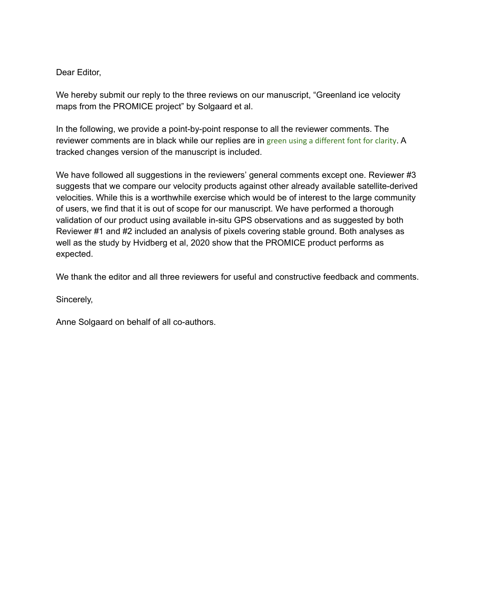## Dear Editor,

We hereby submit our reply to the three reviews on our manuscript, "Greenland ice velocity maps from the PROMICE project" by Solgaard et al.

In the following, we provide a point-by-point response to all the reviewer comments. The reviewer comments are in black while our replies are in green using a different font for clarity. A tracked changes version of the manuscript is included.

We have followed all suggestions in the reviewers' general comments except one. Reviewer #3 suggests that we compare our velocity products against other already available satellite-derived velocities. While this is a worthwhile exercise which would be of interest to the large community of users, we find that it is out of scope for our manuscript. We have performed a thorough validation of our product using available in-situ GPS observations and as suggested by both Reviewer #1 and #2 included an analysis of pixels covering stable ground. Both analyses as well as the study by Hvidberg et al, 2020 show that the PROMICE product performs as expected.

We thank the editor and all three reviewers for useful and constructive feedback and comments.

Sincerely,

Anne Solgaard on behalf of all co-authors.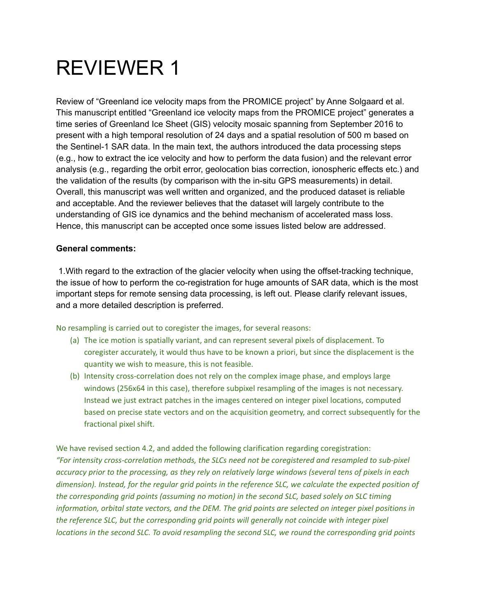## REVIEWER 1

Review of "Greenland ice velocity maps from the PROMICE project" by Anne Solgaard et al. This manuscript entitled "Greenland ice velocity maps from the PROMICE project" generates a time series of Greenland Ice Sheet (GIS) velocity mosaic spanning from September 2016 to present with a high temporal resolution of 24 days and a spatial resolution of 500 m based on the Sentinel-1 SAR data. In the main text, the authors introduced the data processing steps (e.g., how to extract the ice velocity and how to perform the data fusion) and the relevant error analysis (e.g., regarding the orbit error, geolocation bias correction, ionospheric effects etc.) and the validation of the results (by comparison with the in-situ GPS measurements) in detail. Overall, this manuscript was well written and organized, and the produced dataset is reliable and acceptable. And the reviewer believes that the dataset will largely contribute to the understanding of GIS ice dynamics and the behind mechanism of accelerated mass loss. Hence, this manuscript can be accepted once some issues listed below are addressed.

## **General comments:**

1.With regard to the extraction of the glacier velocity when using the offset-tracking technique, the issue of how to perform the co-registration for huge amounts of SAR data, which is the most important steps for remote sensing data processing, is left out. Please clarify relevant issues, and a more detailed description is preferred.

No resampling is carried out to coregister the images, for several reasons:

- (a) The ice motion is spatially variant, and can represent several pixels of displacement. To coregister accurately, it would thus have to be known a priori, but since the displacement is the quantity we wish to measure, this is not feasible.
- (b) Intensity cross-correlation does not rely on the complex image phase, and employs large windows (256x64 in this case), therefore subpixel resampling of the images is not necessary. Instead we just extract patches in the images centered on integer pixel locations, computed based on precise state vectors and on the acquisition geometry, and correct subsequently for the fractional pixel shift.

We have revised section 4.2, and added the following clarification regarding coregistration: *"For intensity cross-correlation methods, the SLCs need not be coregistered and resampled to sub-pixel* accuracy prior to the processing, as they rely on relatively large windows (several tens of pixels in each dimension). Instead, for the regular grid points in the reference SLC, we calculate the expected position of *the corresponding grid points (assuming no motion) in the second SLC, based solely on SLC timing* information, orbital state vectors, and the DEM. The grid points are selected on integer pixel positions in *the reference SLC, but the corresponding grid points will generally not coincide with integer pixel locations in the second SLC. To avoid resampling the second SLC, we round the corresponding grid points*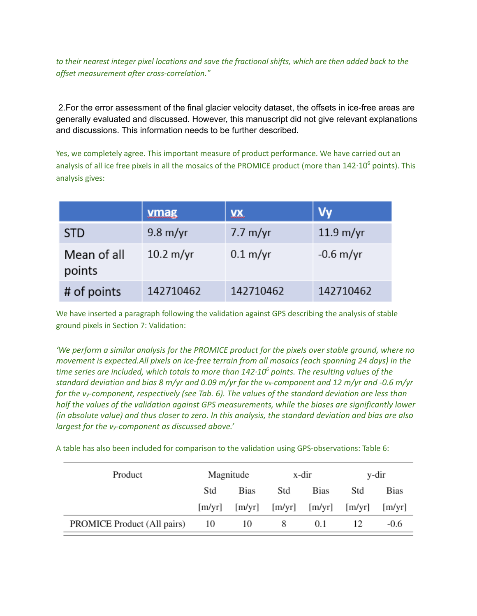to their nearest integer pixel locations and save the fractional shifts, which are then added back to the *offset measurement after cross-correlation."*

2.For the error assessment of the final glacier velocity dataset, the offsets in ice-free areas are generally evaluated and discussed. However, this manuscript did not give relevant explanations and discussions. This information needs to be further described.

Yes, we completely agree. This important measure of product performance. We have carried out an analysis of all ice free pixels in all the mosaics of the PROMICE product (more than  $142·10<sup>6</sup>$  points). This analysis gives:

|                       | <b>ymag</b>         | <b>XX</b>          | <b>Vy</b>           |
|-----------------------|---------------------|--------------------|---------------------|
| <b>STD</b>            | $9.8 \text{ m/yr}$  | $7.7 \text{ m/yr}$ | $11.9 \text{ m/yr}$ |
| Mean of all<br>points | $10.2 \text{ m/yr}$ | $0.1 \text{ m/yr}$ | $-0.6$ m/yr         |
| # of points           | 142710462           | 142710462          | 142710462           |

We have inserted a paragraph following the validation against GPS describing the analysis of stable ground pixels in Section 7: Validation:

*'We perform a similar analysis for the PROMICE product for the pixels over stable ground, where no movement is expected.All pixels on ice-free terrain from all mosaics (each spanning 24 days) in the time series are included, which totals to more than 142·10 <sup>6</sup> points. The resulting values of the* standard deviation and bias 8 m/yr and 0.09 m/yr for the vx-component and 12 m/yr and -0.6 m/yr for the vy-component, respectively (see Tab. 6). The values of the standard deviation are less than *half the values of the validation against GPS measurements, while the biases are significantly lower* (in absolute value) and thus closer to zero. In this analysis, the standard deviation and bias are also *largest for the vy-component as discussed above.'*

A table has also been included for comparison to the validation using GPS-observations: Table 6:

| Product                     | Magnitude |      | x-dir |                                     | y-dir |             |
|-----------------------------|-----------|------|-------|-------------------------------------|-------|-------------|
|                             | Std       | Bias | Std   | <b>Bias</b>                         | Std   | <b>Bias</b> |
|                             | [m/yr]    |      |       | $[m/yr]$ $[m/yr]$ $[m/yr]$ $[m/yr]$ |       | [m/yr]      |
| PROMICE Product (All pairs) | 10        | 10   | 8     | 0.1                                 |       | $-0.6$      |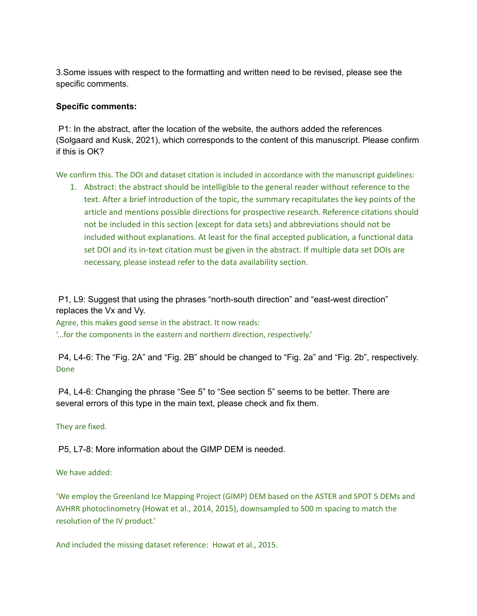3.Some issues with respect to the formatting and written need to be revised, please see the specific comments.

## **Specific comments:**

P1: In the abstract, after the location of the website, the authors added the references (Solgaard and Kusk, 2021), which corresponds to the content of this manuscript. Please confirm if this is OK?

We confirm this. The DOI and dataset citation is included in accordance with the manuscript guidelines:

1. Abstract: the abstract should be intelligible to the general reader without reference to the text. After a brief introduction of the topic, the summary recapitulates the key points of the article and mentions possible directions for prospective research. Reference citations should not be included in this section (except for data sets) and abbreviations should not be included without explanations. At least for the final accepted publication, a functional data set DOI and its in-text citation must be given in the abstract. If multiple data set DOIs are necessary, please instead refer to the data availability section.

P1, L9: Suggest that using the phrases "north-south direction" and "east-west direction" replaces the Vx and Vy.

Agree, this makes good sense in the abstract. It now reads: '...for the components in the eastern and northern direction, respectively.'

P4, L4-6: The "Fig. 2A" and "Fig. 2B" should be changed to "Fig. 2a" and "Fig. 2b", respectively. Done

P4, L4-6: Changing the phrase "See 5" to "See section 5" seems to be better. There are several errors of this type in the main text, please check and fix them.

They are fixed.

P5, L7-8: More information about the GIMP DEM is needed.

We have added:

'We employ the Greenland Ice Mapping Project (GIMP) DEM based on the ASTER and SPOT 5 DEMs and AVHRR photoclinometry (Howat et al., 2014, 2015), downsampled to 500 m spacing to match the resolution of the IV product.'

And included the missing dataset reference: Howat et al., 2015.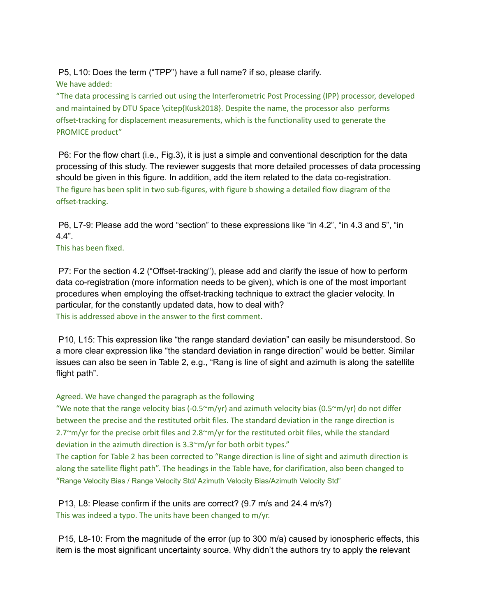P5, L10: Does the term ("TPP") have a full name? if so, please clarify.

We have added:

"The data processing is carried out using the Interferometric Post Processing (IPP) processor, developed and maintained by DTU Space \citep{Kusk2018}. Despite the name, the processor also performs offset-tracking for displacement measurements, which is the functionality used to generate the PROMICE product"

P6: For the flow chart (i.e., Fig.3), it is just a simple and conventional description for the data processing of this study. The reviewer suggests that more detailed processes of data processing should be given in this figure. In addition, add the item related to the data co-registration. The figure has been split in two sub-figures, with figure b showing a detailed flow diagram of the offset-tracking.

P6, L7-9: Please add the word "section" to these expressions like "in 4.2", "in 4.3 and 5", "in 4.4".

This has been fixed.

P7: For the section 4.2 ("Offset-tracking"), please add and clarify the issue of how to perform data co-registration (more information needs to be given), which is one of the most important procedures when employing the offset-tracking technique to extract the glacier velocity. In particular, for the constantly updated data, how to deal with? This is addressed above in the answer to the first comment.

P10, L15: This expression like "the range standard deviation" can easily be misunderstood. So a more clear expression like "the standard deviation in range direction" would be better. Similar issues can also be seen in Table 2, e.g., "Rang is line of sight and azimuth is along the satellite flight path".

Agreed. We have changed the paragraph as the following

"We note that the range velocity bias (-0.5 $\text{cm/yr}$ ) and azimuth velocity bias (0.5 $\text{cm/yr}$ ) do not differ between the precise and the restituted orbit files. The standard deviation in the range direction is 2.7~m/yr for the precise orbit files and 2.8~m/yr for the restituted orbit files, while the standard deviation in the azimuth direction is 3.3~m/yr for both orbit types."

The caption for Table 2 has been corrected to "Range direction is line of sight and azimuth direction is along the satellite flight path". The headings in the Table have, for clarification, also been changed to "Range Velocity Bias / Range Velocity Std/ Azimuth Velocity Bias/Azimuth Velocity Std"

P13, L8: Please confirm if the units are correct? (9.7 m/s and 24.4 m/s?) This was indeed a typo. The units have been changed to m/yr.

P15, L8-10: From the magnitude of the error (up to 300 m/a) caused by ionospheric effects, this item is the most significant uncertainty source. Why didn't the authors try to apply the relevant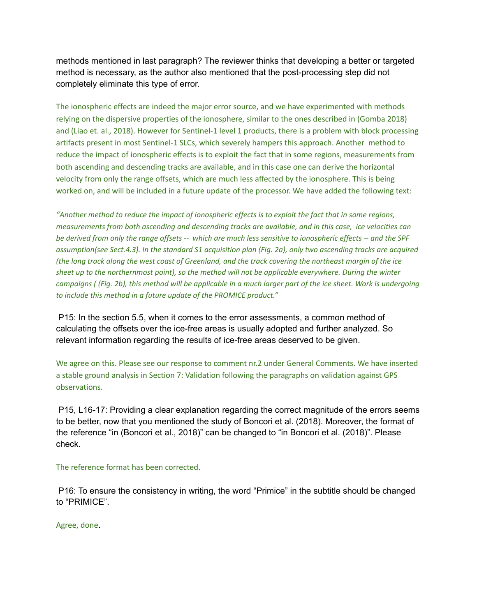methods mentioned in last paragraph? The reviewer thinks that developing a better or targeted method is necessary, as the author also mentioned that the post-processing step did not completely eliminate this type of error.

The ionospheric effects are indeed the major error source, and we have experimented with methods relying on the dispersive properties of the ionosphere, similar to the ones described in (Gomba 2018) and (Liao et. al., 2018). However for Sentinel-1 level 1 products, there is a problem with block processing artifacts present in most Sentinel-1 SLCs, which severely hampers this approach. Another method to reduce the impact of ionospheric effects is to exploit the fact that in some regions, measurements from both ascending and descending tracks are available, and in this case one can derive the horizontal velocity from only the range offsets, which are much less affected by the ionosphere. This is being worked on, and will be included in a future update of the processor. We have added the following text:

*"Another method to reduce the impact of ionospheric effects is to exploit the fact that in some regions, measurements from both ascending and descending tracks are available, and in this case, ice velocities can be derived from only the range offsets -- which are much less sensitive to ionospheric effects -- and the SPF assumption(see Sect.4.3). In the standard S1 acquisition plan (Fig. 2a), only two ascending tracks are acquired (the long track along the west coast of Greenland, and the track covering the northeast margin of the ice sheet up to the northernmost point), so the method will not be applicable everywhere. During the winter campaigns ( (Fig. 2b), this method will be applicable in a much larger part of the ice sheet. Work is undergoing to include this method in a future update of the PROMICE product."*

P15: In the section 5.5, when it comes to the error assessments, a common method of calculating the offsets over the ice-free areas is usually adopted and further analyzed. So relevant information regarding the results of ice-free areas deserved to be given.

We agree on this. Please see our response to comment nr.2 under General Comments. We have inserted a stable ground analysis in Section 7: Validation following the paragraphs on validation against GPS observations.

P15, L16-17: Providing a clear explanation regarding the correct magnitude of the errors seems to be better, now that you mentioned the study of Boncori et al. (2018). Moreover, the format of the reference "in (Boncori et al., 2018)" can be changed to "in Boncori et al. (2018)". Please check.

### The reference format has been corrected.

P16: To ensure the consistency in writing, the word "Primice" in the subtitle should be changed to "PRIMICE".

Agree, done.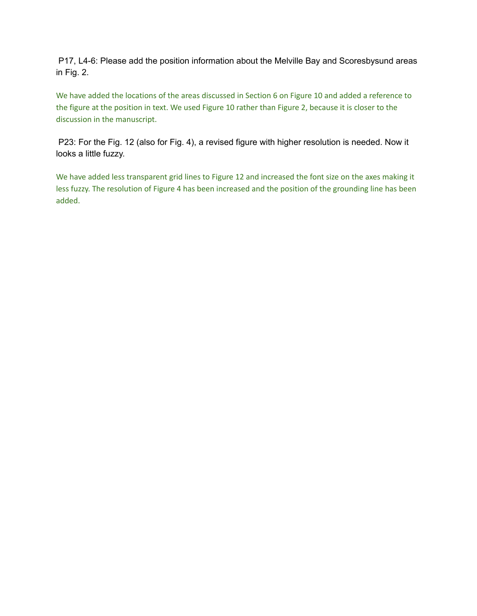P17, L4-6: Please add the position information about the Melville Bay and Scoresbysund areas in Fig. 2.

We have added the locations of the areas discussed in Section 6 on Figure 10 and added a reference to the figure at the position in text. We used Figure 10 rather than Figure 2, because it is closer to the discussion in the manuscript.

P23: For the Fig. 12 (also for Fig. 4), a revised figure with higher resolution is needed. Now it looks a little fuzzy.

We have added less transparent grid lines to Figure 12 and increased the font size on the axes making it less fuzzy. The resolution of Figure 4 has been increased and the position of the grounding line has been added.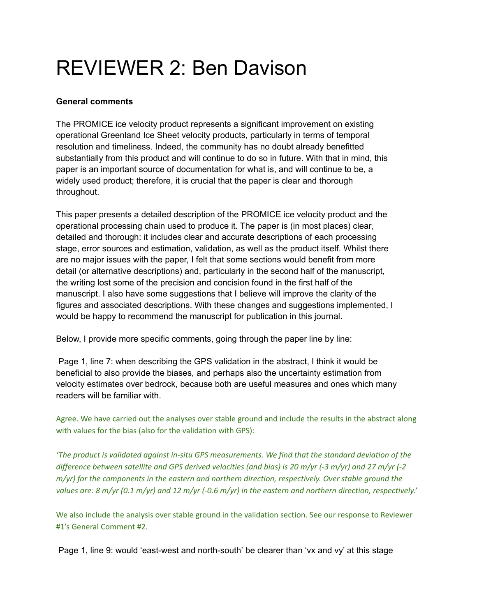## REVIEWER 2: Ben Davison

## **General comments**

The PROMICE ice velocity product represents a significant improvement on existing operational Greenland Ice Sheet velocity products, particularly in terms of temporal resolution and timeliness. Indeed, the community has no doubt already benefitted substantially from this product and will continue to do so in future. With that in mind, this paper is an important source of documentation for what is, and will continue to be, a widely used product; therefore, it is crucial that the paper is clear and thorough throughout.

This paper presents a detailed description of the PROMICE ice velocity product and the operational processing chain used to produce it. The paper is (in most places) clear, detailed and thorough: it includes clear and accurate descriptions of each processing stage, error sources and estimation, validation, as well as the product itself. Whilst there are no major issues with the paper, I felt that some sections would benefit from more detail (or alternative descriptions) and, particularly in the second half of the manuscript, the writing lost some of the precision and concision found in the first half of the manuscript. I also have some suggestions that I believe will improve the clarity of the figures and associated descriptions. With these changes and suggestions implemented, I would be happy to recommend the manuscript for publication in this journal.

Below, I provide more specific comments, going through the paper line by line:

Page 1, line 7: when describing the GPS validation in the abstract, I think it would be beneficial to also provide the biases, and perhaps also the uncertainty estimation from velocity estimates over bedrock, because both are useful measures and ones which many readers will be familiar with.

Agree. We have carried out the analyses over stable ground and include the results in the abstract along with values for the bias (also for the validation with GPS):

*'The product is validated against in-situ GPS measurements. We find that the standard deviation of the* difference between satellite and GPS derived velocities (and bias) is 20 m/yr (-3 m/yr) and 27 m/yr (-2 *m/yr) for the components in the eastern and northern direction, respectively. Over stable ground the* values are: 8 m/yr (0.1 m/yr) and 12 m/yr (-0.6 m/yr) in the eastern and northern direction, respectively.'

We also include the analysis over stable ground in the validation section. See our response to Reviewer #1's General Comment #2.

Page 1, line 9: would 'east-west and north-south' be clearer than 'vx and vy' at this stage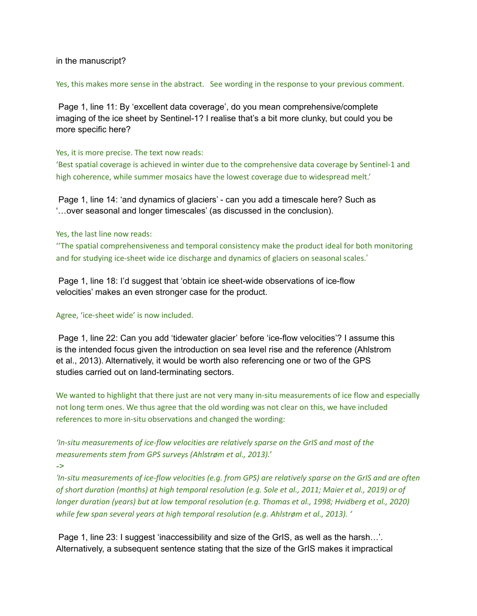### in the manuscript?

#### Yes, this makes more sense in the abstract. See wording in the response to your previous comment.

Page 1, line 11: By 'excellent data coverage', do you mean comprehensive/complete imaging of the ice sheet by Sentinel-1? I realise that's a bit more clunky, but could you be more specific here?

### Yes, it is more precise. The text now reads:

'Best spatial coverage is achieved in winter due to the comprehensive data coverage by Sentinel-1 and high coherence, while summer mosaics have the lowest coverage due to widespread melt.'

Page 1, line 14: 'and dynamics of glaciers' - can you add a timescale here? Such as '…over seasonal and longer timescales' (as discussed in the conclusion).

### Yes, the last line now reads:

''The spatial comprehensiveness and temporal consistency make the product ideal for both monitoring and for studying ice-sheet wide ice discharge and dynamics of glaciers on seasonal scales.'

Page 1, line 18: I'd suggest that 'obtain ice sheet-wide observations of ice-flow velocities' makes an even stronger case for the product.

### Agree, 'ice-sheet wide' is now included.

Page 1, line 22: Can you add 'tidewater glacier' before 'ice-flow velocities'? I assume this is the intended focus given the introduction on sea level rise and the reference (Ahlstrom et al., 2013). Alternatively, it would be worth also referencing one or two of the GPS studies carried out on land-terminating sectors.

We wanted to highlight that there just are not very many in-situ measurements of ice flow and especially not long term ones. We thus agree that the old wording was not clear on this, we have included references to more in-situ observations and changed the wording:

*'In-situ measurements of ice-flow velocities are relatively sparse on the GrIS and most of the measurements stem from GPS surveys (Ahlstrøm et al., 2013).'*

*->*

'In-situ measurements of ice-flow velocities (e.g. from GPS) are relatively sparse on the GrIS and are often of short duration (months) at high temporal resolution (e.g. Sole et al., 2011; Maier et al., 2019) or of *longer duration (years) but at low temporal resolution (e.g. Thomas et al., 1998; Hvidberg et al., 2020) while few span several years at high temporal resolution (e.g. Ahlstrøm et al., 2013). '*

Page 1, line 23: I suggest 'inaccessibility and size of the GrIS, as well as the harsh…'. Alternatively, a subsequent sentence stating that the size of the GrIS makes it impractical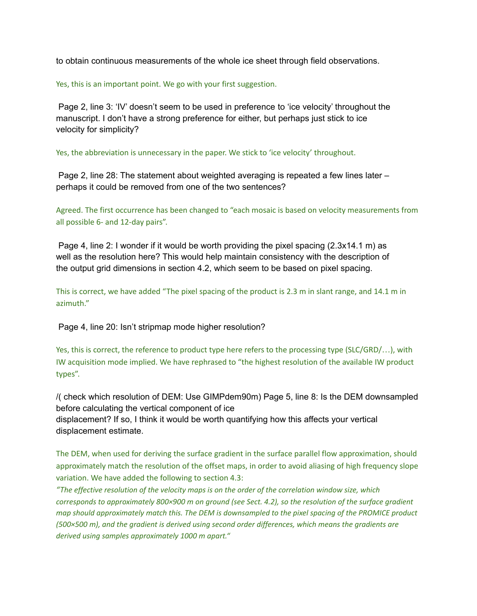to obtain continuous measurements of the whole ice sheet through field observations.

Yes, this is an important point. We go with your first suggestion.

Page 2, line 3: 'IV' doesn't seem to be used in preference to 'ice velocity' throughout the manuscript. I don't have a strong preference for either, but perhaps just stick to ice velocity for simplicity?

Yes, the abbreviation is unnecessary in the paper. We stick to 'ice velocity' throughout.

Page 2, line 28: The statement about weighted averaging is repeated a few lines later – perhaps it could be removed from one of the two sentences?

Agreed. The first occurrence has been changed to "each mosaic is based on velocity measurements from all possible 6- and 12-day pairs".

Page 4, line 2: I wonder if it would be worth providing the pixel spacing (2.3x14.1 m) as well as the resolution here? This would help maintain consistency with the description of the output grid dimensions in section 4.2, which seem to be based on pixel spacing.

This is correct, we have added "The pixel spacing of the product is 2.3 m in slant range, and 14.1 m in azimuth."

Page 4, line 20: Isn't stripmap mode higher resolution?

Yes, this is correct, the reference to product type here refers to the processing type (SLC/GRD/…), with IW acquisition mode implied. We have rephrased to "the highest resolution of the available IW product types".

/( check which resolution of DEM: Use GIMPdem90m) Page 5, line 8: Is the DEM downsampled before calculating the vertical component of ice displacement? If so, I think it would be worth quantifying how this affects your vertical displacement estimate.

The DEM, when used for deriving the surface gradient in the surface parallel flow approximation, should approximately match the resolution of the offset maps, in order to avoid aliasing of high frequency slope variation. We have added the following to section 4.3:

*"The effective resolution of the velocity maps is on the order of the correlation window size, which corresponds to approximately 800×900 m on ground (see Sect. 4.2), so the resolution of the surface gradient map should approximately match this. The DEM is downsampled to the pixel spacing of the PROMICE product (500×500 m), and the gradient is derived using second order differences, which means the gradients are derived using samples approximately 1000 m apart."*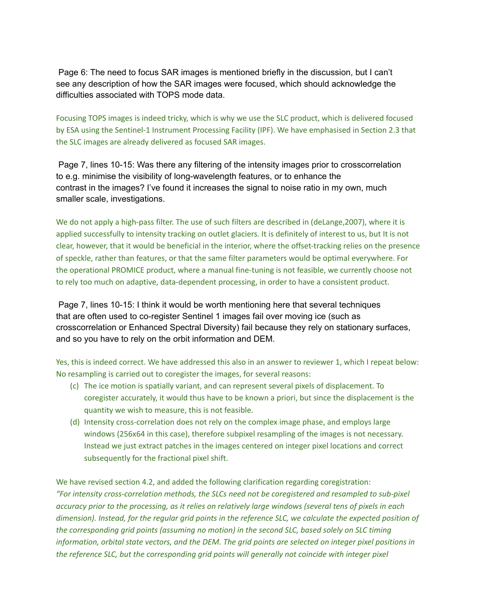Page 6: The need to focus SAR images is mentioned briefly in the discussion, but I can't see any description of how the SAR images were focused, which should acknowledge the difficulties associated with TOPS mode data.

Focusing TOPS images is indeed tricky, which is why we use the SLC product, which is delivered focused by ESA using the Sentinel-1 Instrument Processing Facility (IPF). We have emphasised in Section 2.3 that the SLC images are already delivered as focused SAR images.

Page 7, lines 10-15: Was there any filtering of the intensity images prior to crosscorrelation to e.g. minimise the visibility of long-wavelength features, or to enhance the contrast in the images? I've found it increases the signal to noise ratio in my own, much smaller scale, investigations.

We do not apply a high-pass filter. The use of such filters are described in (deLange, 2007), where it is applied successfully to intensity tracking on outlet glaciers. It is definitely of interest to us, but It is not clear, however, that it would be beneficial in the interior, where the offset-tracking relies on the presence of speckle, rather than features, or that the same filter parameters would be optimal everywhere. For the operational PROMICE product, where a manual fine-tuning is not feasible, we currently choose not to rely too much on adaptive, data-dependent processing, in order to have a consistent product.

Page 7, lines 10-15: I think it would be worth mentioning here that several techniques that are often used to co-register Sentinel 1 images fail over moving ice (such as crosscorrelation or Enhanced Spectral Diversity) fail because they rely on stationary surfaces, and so you have to rely on the orbit information and DEM.

Yes, this is indeed correct. We have addressed this also in an answer to reviewer 1, which I repeat below: No resampling is carried out to coregister the images, for several reasons:

- (c) The ice motion is spatially variant, and can represent several pixels of displacement. To coregister accurately, it would thus have to be known a priori, but since the displacement is the quantity we wish to measure, this is not feasible.
- (d) Intensity cross-correlation does not rely on the complex image phase, and employs large windows (256x64 in this case), therefore subpixel resampling of the images is not necessary. Instead we just extract patches in the images centered on integer pixel locations and correct subsequently for the fractional pixel shift.

We have revised section 4.2, and added the following clarification regarding coregistration: *"For intensity cross-correlation methods, the SLCs need not be coregistered and resampled to sub-pixel* accuracy prior to the processing, as it relies on relatively large windows (several tens of pixels in each dimension). Instead, for the regular grid points in the reference SLC, we calculate the expected position of *the corresponding grid points (assuming no motion) in the second SLC, based solely on SLC timing* information, orbital state vectors, and the DEM. The grid points are selected on integer pixel positions in *the reference SLC, but the corresponding grid points will generally not coincide with integer pixel*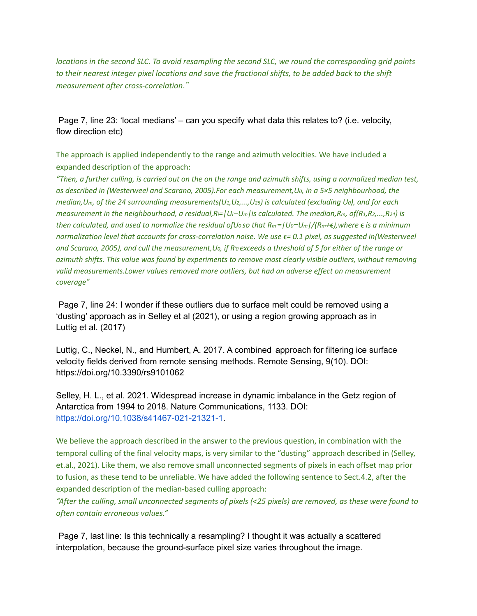*locations in the second SLC. To avoid resampling the second SLC, we round the corresponding grid points* to their nearest integer pixel locations and save the fractional shifts, to be added back to the shift *measurement after cross-correlation."*

Page 7, line 23: 'local medians' – can you specify what data this relates to? (i.e. velocity, flow direction etc)

The approach is applied independently to the range and azimuth velocities. We have included a expanded description of the approach:

*"Then, a further culling, is carried out on the on the range and azimuth shifts, using a normalized median test, as described in (Westerweel and Scarano, 2005).For each measurement,U0, in a 5×5 neighbourhood, the median,Um, of the 24 surrounding measurements(U1,U2,...,U25) is calculated (excluding U0), and for each* measurement in the neighbourhood, a residual,  $R = |U_i-U_m|$  is calculated. The median,  $R_m$ , of  $(R_1, R_2,..., R_{24})$  is *then calculated, and used to normalize the residual ofU<sup>0</sup> so that Rm'=|U0−Um|/(Rm+),where is a minimum normalization level that accounts for cross-correlation noise. We use = 0.1 pixel, as suggested in(Westerweel and Scarano, 2005), and cull the measurement,U0, if R′<sup>0</sup> exceeds a threshold of 5 for either of the range or azimuth shifts. This value was found by experiments to remove most clearly visible outliers, without removing valid measurements.Lower values removed more outliers, but had an adverse effect on measurement coverage"*

Page 7, line 24: I wonder if these outliers due to surface melt could be removed using a 'dusting' approach as in Selley et al (2021), or using a region growing approach as in Luttig et al. (2017)

Luttig, C., Neckel, N., and Humbert, A. 2017. A combined approach for filtering ice surface velocity fields derived from remote sensing methods. Remote Sensing, 9(10). DOI: https://doi.org/10.3390/rs9101062

Selley, H. L., et al. 2021. Widespread increase in dynamic imbalance in the Getz region of Antarctica from 1994 to 2018. Nature Communications, 1133. DOI: [https://doi.org/10.1038/s41467-021-21321-1.](https://doi.org/10.1038/s41467-021-21321-1)

We believe the approach described in the answer to the previous question, in combination with the temporal culling of the final velocity maps, is very similar to the "dusting" approach described in (Selley, et.al., 2021). Like them, we also remove small unconnected segments of pixels in each offset map prior to fusion, as these tend to be unreliable. We have added the following sentence to Sect.4.2, after the expanded description of the median-based culling approach:

*"After the culling, small unconnected segments of pixels (<25 pixels) are removed, as these were found to often contain erroneous values."*

Page 7, last line: Is this technically a resampling? I thought it was actually a scattered interpolation, because the ground-surface pixel size varies throughout the image.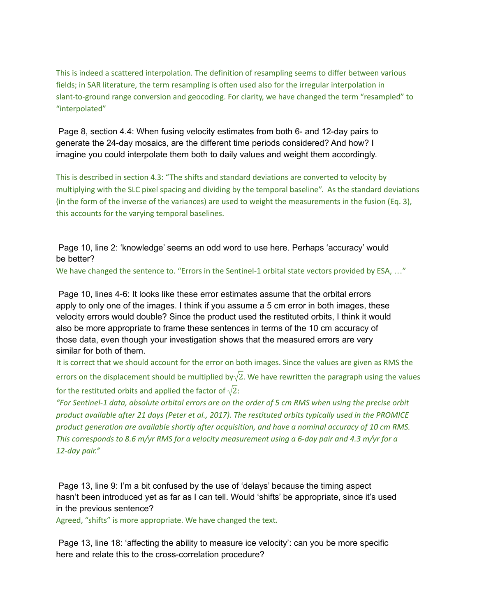This is indeed a scattered interpolation. The definition of resampling seems to differ between various fields; in SAR literature, the term resampling is often used also for the irregular interpolation in slant-to-ground range conversion and geocoding. For clarity, we have changed the term "resampled" to "interpolated"

Page 8, section 4.4: When fusing velocity estimates from both 6- and 12-day pairs to generate the 24-day mosaics, are the different time periods considered? And how? I imagine you could interpolate them both to daily values and weight them accordingly.

This is described in section 4.3: "The shifts and standard deviations are converted to velocity by multiplying with the SLC pixel spacing and dividing by the temporal baseline". As the standard deviations (in the form of the inverse of the variances) are used to weight the measurements in the fusion (Eq. 3), this accounts for the varying temporal baselines.

Page 10, line 2: 'knowledge' seems an odd word to use here. Perhaps 'accuracy' would be better?

We have changed the sentence to. "Errors in the Sentinel-1 orbital state vectors provided by ESA, ..."

Page 10, lines 4-6: It looks like these error estimates assume that the orbital errors apply to only one of the images. I think if you assume a 5 cm error in both images, these velocity errors would double? Since the product used the restituted orbits, I think it would also be more appropriate to frame these sentences in terms of the 10 cm accuracy of those data, even though your investigation shows that the measured errors are very similar for both of them.

It is correct that we should account for the error on both images. Since the values are given as RMS the errors on the displacement should be multiplied by  $\sqrt{2}$ . We have rewritten the paragraph using the values

for the restituted orbits and applied the factor of  $\sqrt{2}$ :

"For Sentinel-1 data, absolute orbital errors are on the order of 5 cm RMS when using the precise orbit *product available after 21 days (Peter et al., 2017). The restituted orbits typically used in the PROMICE product generation are available shortly after acquisition, and have a nominal accuracy of 10 cm RMS.* This corresponds to 8.6 m/yr RMS for a velocity measurement using a 6-day pair and 4.3 m/yr for a *12-day pair."*

Page 13, line 9: I'm a bit confused by the use of 'delays' because the timing aspect hasn't been introduced yet as far as I can tell. Would 'shifts' be appropriate, since it's used in the previous sentence?

Agreed, "shifts" is more appropriate. We have changed the text.

Page 13, line 18: 'affecting the ability to measure ice velocity': can you be more specific here and relate this to the cross-correlation procedure?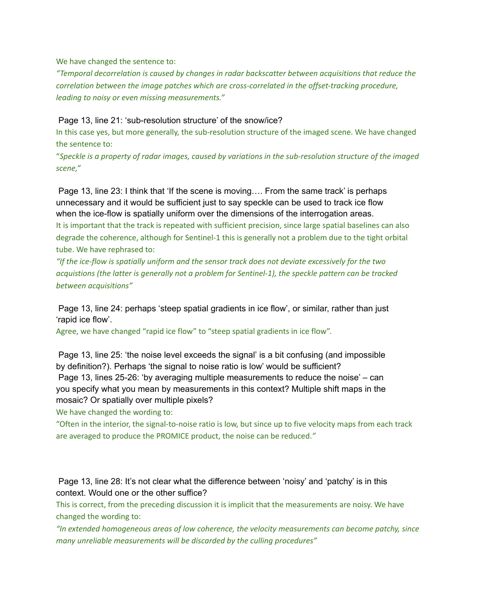We have changed the sentence to:

*"Temporal decorrelation is caused by changes in radar backscatter between acquisitions that reduce the correlation between the image patches which are cross-correlated in the offset-tracking procedure, leading to noisy or even missing measurements."*

Page 13, line 21: 'sub-resolution structure' of the snow/ice?

In this case yes, but more generally, the sub-resolution structure of the imaged scene. We have changed the sentence to:

"Speckle is a property of radar images, caused by variations in the sub-resolution structure of the imaged *scene,"*

Page 13, line 23: I think that 'If the scene is moving…. From the same track' is perhaps unnecessary and it would be sufficient just to say speckle can be used to track ice flow when the ice-flow is spatially uniform over the dimensions of the interrogation areas. It is important that the track is repeated with sufficient precision, since large spatial baselines can also degrade the coherence, although for Sentinel-1 this is generally not a problem due to the tight orbital tube. We have rephrased to:

*"If the ice-flow is spatially uniform and the sensor track does not deviate excessively for the two acquistions (the latter is generally not a problem for Sentinel-1), the speckle pattern can be tracked between acquisitions"*

Page 13, line 24: perhaps 'steep spatial gradients in ice flow', or similar, rather than just 'rapid ice flow'.

Agree, we have changed "rapid ice flow" to "steep spatial gradients in ice flow".

Page 13, line 25: 'the noise level exceeds the signal' is a bit confusing (and impossible by definition?). Perhaps 'the signal to noise ratio is low' would be sufficient? Page 13, lines 25-26: 'by averaging multiple measurements to reduce the noise' – can you specify what you mean by measurements in this context? Multiple shift maps in the mosaic? Or spatially over multiple pixels?

We have changed the wording to:

"Often in the interior, the signal-to-noise ratio is low, but since up to five velocity maps from each track are averaged to produce the PROMICE product, the noise can be reduced.*"*

Page 13, line 28: It's not clear what the difference between 'noisy' and 'patchy' is in this context. Would one or the other suffice?

This is correct, from the preceding discussion it is implicit that the measurements are noisy. We have changed the wording to:

*"In extended homogeneous areas of low coherence, the velocity measurements can become patchy, since many unreliable measurements will be discarded by the culling procedures"*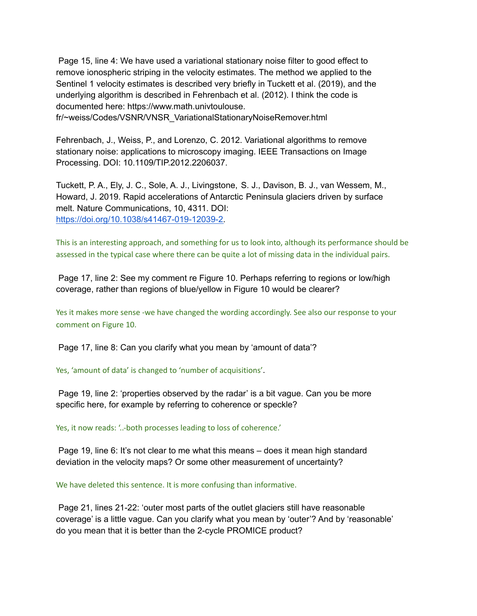Page 15, line 4: We have used a variational stationary noise filter to good effect to remove ionospheric striping in the velocity estimates. The method we applied to the Sentinel 1 velocity estimates is described very briefly in Tuckett et al. (2019), and the underlying algorithm is described in Fehrenbach et al. (2012). I think the code is documented here: https://www.math.univtoulouse.

fr/~weiss/Codes/VSNR/VNSR\_VariationalStationaryNoiseRemover.html

Fehrenbach, J., Weiss, P., and Lorenzo, C. 2012. Variational algorithms to remove stationary noise: applications to microscopy imaging. IEEE Transactions on Image Processing. DOI: 10.1109/TIP.2012.2206037.

Tuckett, P. A., Ely, J. C., Sole, A. J., Livingstone, S. J., Davison, B. J., van Wessem, M., Howard, J. 2019. Rapid accelerations of Antarctic Peninsula glaciers driven by surface melt. Nature Communications, 10, 4311. DOI: [https://doi.org/10.1038/s41467-019-12039-2.](https://doi.org/10.1038/s41467-019-12039-2)

This is an interesting approach, and something for us to look into, although its performance should be assessed in the typical case where there can be quite a lot of missing data in the individual pairs.

Page 17, line 2: See my comment re Figure 10. Perhaps referring to regions or low/high coverage, rather than regions of blue/yellow in Figure 10 would be clearer?

Yes it makes more sense -we have changed the wording accordingly. See also our response to your comment on Figure 10.

Page 17, line 8: Can you clarify what you mean by 'amount of data'?

Yes, 'amount of data' is changed to 'number of acquisitions'.

Page 19, line 2: 'properties observed by the radar' is a bit vague. Can you be more specific here, for example by referring to coherence or speckle?

Yes, it now reads: '..-both processes leading to loss of coherence.'

Page 19, line 6: It's not clear to me what this means – does it mean high standard deviation in the velocity maps? Or some other measurement of uncertainty?

We have deleted this sentence. It is more confusing than informative.

Page 21, lines 21-22: 'outer most parts of the outlet glaciers still have reasonable coverage' is a little vague. Can you clarify what you mean by 'outer'? And by 'reasonable' do you mean that it is better than the 2-cycle PROMICE product?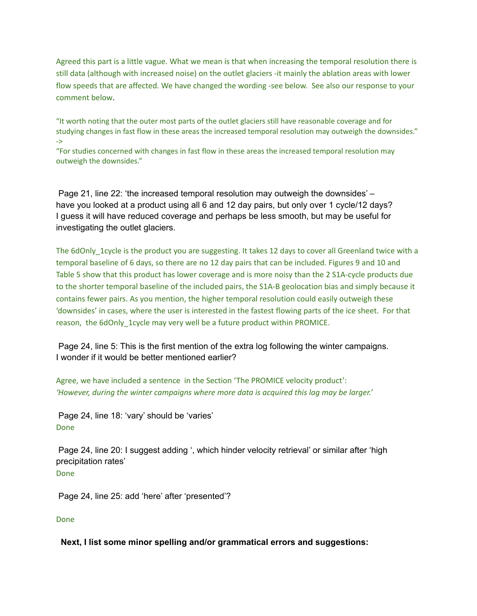Agreed this part is a little vague. What we mean is that when increasing the temporal resolution there is still data (although with increased noise) on the outlet glaciers -it mainly the ablation areas with lower flow speeds that are affected. We have changed the wording -see below. See also our response to your comment below.

"It worth noting that the outer most parts of the outlet glaciers still have reasonable coverage and for studying changes in fast flow in these areas the increased temporal resolution may outweigh the downsides." ->

"For studies concerned with changes in fast flow in these areas the increased temporal resolution may outweigh the downsides."

Page 21, line 22: 'the increased temporal resolution may outweigh the downsides' – have you looked at a product using all 6 and 12 day pairs, but only over 1 cycle/12 days? I guess it will have reduced coverage and perhaps be less smooth, but may be useful for investigating the outlet glaciers.

The 6dOnly 1cycle is the product you are suggesting. It takes 12 days to cover all Greenland twice with a temporal baseline of 6 days, so there are no 12 day pairs that can be included. Figures 9 and 10 and Table 5 show that this product has lower coverage and is more noisy than the 2 S1A-cycle products due to the shorter temporal baseline of the included pairs, the S1A-B geolocation bias and simply because it contains fewer pairs. As you mention, the higher temporal resolution could easily outweigh these 'downsides' in cases, where the user is interested in the fastest flowing parts of the ice sheet. For that reason, the 6dOnly 1cycle may very well be a future product within PROMICE.

Page 24, line 5: This is the first mention of the extra log following the winter campaigns. I wonder if it would be better mentioned earlier?

Agree, we have included a sentence in the Section 'The PROMICE velocity product': *'However, during the winter campaigns where more data is acquired this lag may be larger.'*

Page 24, line 18: 'vary' should be 'varies' Done

Page 24, line 20: I suggest adding ', which hinder velocity retrieval' or similar after 'high precipitation rates' Done

Page 24, line 25: add 'here' after 'presented'?

Done

**Next, I list some minor spelling and/or grammatical errors and suggestions:**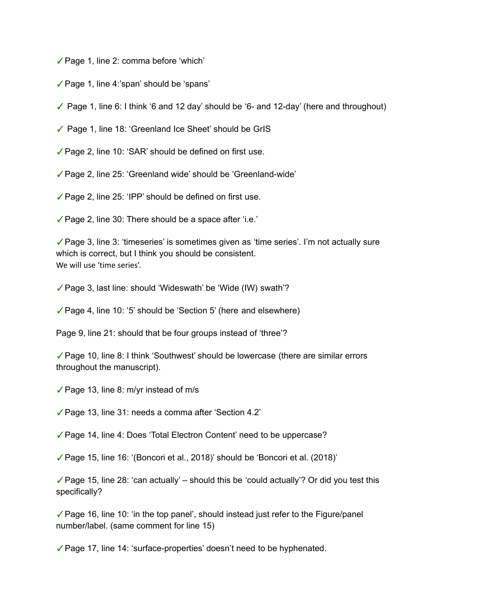✓Page 1, line 2: comma before 'which'

✓Page 1, line 4:'span' should be 'spans'

 $\checkmark$  Page 1, line 6: I think '6 and 12 day' should be '6- and 12-day' (here and throughout)

✓ Page 1, line 18: 'Greenland Ice Sheet' should be GrIS

✓Page 2, line 10: 'SAR' should be defined on first use.

✓Page 2, line 25: 'Greenland wide' should be 'Greenland-wide'

✓Page 2, line 25: 'IPP' should be defined on first use.

✓Page 2, line 30: There should be a space after 'i.e.'

✓Page 3, line 3: 'timeseries' is sometimes given as 'time series'. I'm not actually sure which is correct, but I think you should be consistent. We will use 'time series'.

✓Page 3, last line: should 'Wideswath' be 'Wide (IW) swath'?

✓Page 4, line 10: '5' should be 'Section 5' (here and elsewhere)

Page 9, line 21: should that be four groups instead of 'three'?

✓Page 10, line 8: I think 'Southwest' should be lowercase (there are similar errors throughout the manuscript).

✓Page 13, line 8: m/yr instead of m/s

✓Page 13, line 31: needs a comma after 'Section 4.2'

✓Page 14, line 4: Does 'Total Electron Content' need to be uppercase?

✓Page 15, line 16: '(Boncori et al., 2018)' should be 'Boncori et al. (2018)'

✓Page 15, line 28: 'can actually' – should this be 'could actually'? Or did you test this specifically?

 $\sqrt{P}$ age 16, line 10: 'in the top panel', should instead just refer to the Figure/panel number/label. (same comment for line 15)

✓Page 17, line 14: 'surface-properties' doesn't need to be hyphenated.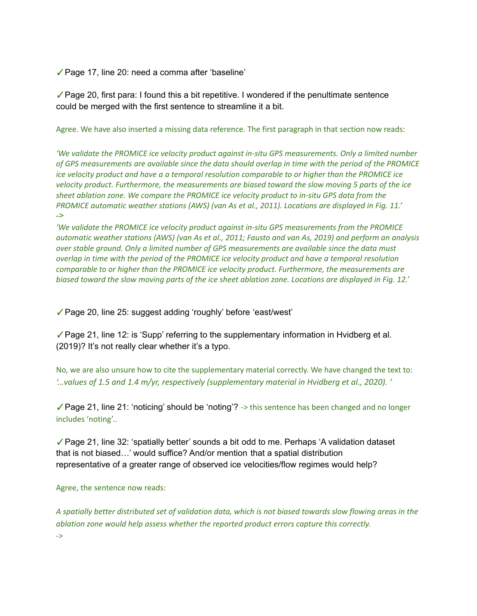✓Page 17, line 20: need a comma after 'baseline'

✓Page 20, first para: I found this a bit repetitive. I wondered if the penultimate sentence could be merged with the first sentence to streamline it a bit.

Agree. We have also inserted a missing data reference. The first paragraph in that section now reads:

*'We validate the PROMICE ice velocity product against in-situ GPS measurements. Only a limited number* of GPS measurements are available since the data should overlap in time with the period of the PROMICE *ice velocity product and have a a temporal resolution comparable to or higher than the PROMICE ice velocity product. Furthermore, the measurements are biased toward the slow moving 5 parts of the ice sheet ablation zone. We compare the PROMICE ice velocity product to in-situ GPS data from the PROMICE automatic weather stations (AWS) (van As et al., 2011). Locations are displayed in Fig. 11.'* ->

*'We validate the PROMICE ice velocity product against in-situ GPS measurements from the PROMICE* automatic weather stations (AWS) (van As et al., 2011; Fausto and van As, 2019) and perform an analysis *over stable ground. Only a limited number of GPS measurements are available since the data must overlap in time with the period of the PROMICE ice velocity product and have a temporal resolution comparable to or higher than the PROMICE ice velocity product. Furthermore, the measurements are* biased toward the slow moving parts of the ice sheet ablation zone. Locations are displayed in Fig. 12.'

✓Page 20, line 25: suggest adding 'roughly' before 'east/west'

✓Page 21, line 12: is 'Supp' referring to the supplementary information in Hvidberg et al. (2019)? It's not really clear whether it's a typo.

No, we are also unsure how to cite the supplementary material correctly. We have changed the text to: *'...values of 1.5 and 1.4 m/yr, respectively (supplementary material in Hvidberg et al., 2020). '*

✓Page 21, line 21: 'noticing' should be 'noting'? -> this sentence has been changed and no longer includes 'noting'..

✓Page 21, line 32: 'spatially better' sounds a bit odd to me. Perhaps 'A validation dataset that is not biased…' would suffice? And/or mention that a spatial distribution representative of a greater range of observed ice velocities/flow regimes would help?

Agree, the sentence now reads:

A spatially better distributed set of validation data, which is not biased towards slow flowing areas in the *ablation zone would help assess whether the reported product errors capture this correctly.* ->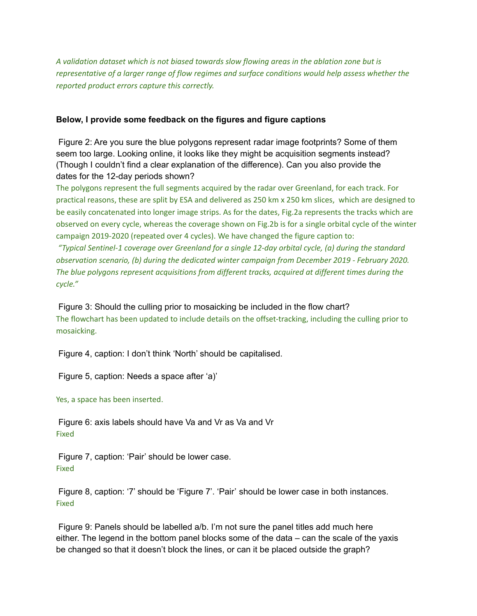*A validation dataset which is not biased towards slow flowing areas in the ablation zone but is representative of a larger range of flow regimes and surface conditions would help assess whether the reported product errors capture this correctly.*

### **Below, I provide some feedback on the figures and figure captions**

Figure 2: Are you sure the blue polygons represent radar image footprints? Some of them seem too large. Looking online, it looks like they might be acquisition segments instead? (Though I couldn't find a clear explanation of the difference). Can you also provide the dates for the 12-day periods shown?

The polygons represent the full segments acquired by the radar over Greenland, for each track. For practical reasons, these are split by ESA and delivered as 250 km x 250 km slices, which are designed to be easily concatenated into longer image strips. As for the dates, Fig.2a represents the tracks which are observed on every cycle, whereas the coverage shown on Fig.2b is for a single orbital cycle of the winter campaign 2019-2020 (repeated over 4 cycles). We have changed the figure caption to:

*"Typical Sentinel-1 coverage over Greenland for a single 12-day orbital cycle, (a) during the standard observation scenario, (b) during the dedicated winter campaign from December 2019 - February 2020. The blue polygons represent acquisitions from different tracks, acquired at different times during the cycle."*

Figure 3: Should the culling prior to mosaicking be included in the flow chart? The flowchart has been updated to include details on the offset-tracking, including the culling prior to mosaicking.

Figure 4, caption: I don't think 'North' should be capitalised.

Figure 5, caption: Needs a space after 'a)'

Yes, a space has been inserted.

Figure 6: axis labels should have Va and Vr as Va and Vr Fixed

Figure 7, caption: 'Pair' should be lower case. Fixed

Figure 8, caption: '7' should be 'Figure 7'. 'Pair' should be lower case in both instances. Fixed

Figure 9: Panels should be labelled a/b. I'm not sure the panel titles add much here either. The legend in the bottom panel blocks some of the data – can the scale of the yaxis be changed so that it doesn't block the lines, or can it be placed outside the graph?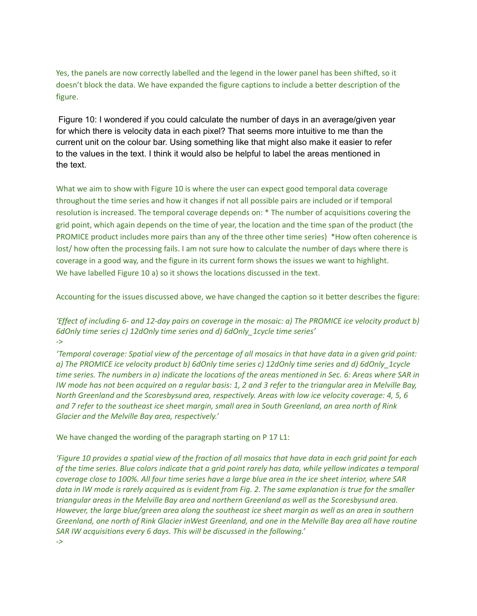Yes, the panels are now correctly labelled and the legend in the lower panel has been shifted, so it doesn't block the data. We have expanded the figure captions to include a better description of the figure.

Figure 10: I wondered if you could calculate the number of days in an average/given year for which there is velocity data in each pixel? That seems more intuitive to me than the current unit on the colour bar. Using something like that might also make it easier to refer to the values in the text. I think it would also be helpful to label the areas mentioned in the text.

What we aim to show with Figure 10 is where the user can expect good temporal data coverage throughout the time series and how it changes if not all possible pairs are included or if temporal resolution is increased. The temporal coverage depends on: \* The number of acquisitions covering the grid point, which again depends on the time of year, the location and the time span of the product (the PROMICE product includes more pairs than any of the three other time series) \*How often coherence is lost/ how often the processing fails. I am not sure how to calculate the number of days where there is coverage in a good way, and the figure in its current form shows the issues we want to highlight. We have labelled Figure 10 a) so it shows the locations discussed in the text.

Accounting for the issues discussed above, we have changed the caption so it better describes the figure:

'Effect of including 6- and 12-day pairs on coverage in the mosaic: a) The PROMICE ice velocity product b) *6dOnly time series c) 12dOnly time series and d) 6dOnly\_1cycle time series'* ->

'Temporal coverage: Spatial view of the percentage of all mosaics in that have data in a given grid point: *a) The PROMICE ice velocity product b) 6dOnly time series c) 12dOnly time series and d) 6dOnly\_1cycle* time series. The numbers in a) indicate the locations of the areas mentioned in Sec. 6: Areas where SAR in IW mode has not been acquired on a regular basis: 1, 2 and 3 refer to the triangular area in Melville Bay, *North Greenland and the Scoresbysund area, respectively. Areas with low ice velocity coverage: 4, 5, 6* and 7 refer to the southeast ice sheet margin, small area in South Greenland, an area north of Rink *Glacier and the Melville Bay area, respectively.'*

We have changed the wording of the paragraph starting on P 17 L1:

'Figure 10 provides a spatial view of the fraction of all mosaics that have data in each grid point for each of the time series. Blue colors indicate that a grid point rarely has data, while yellow indicates a temporal coverage close to 100%. All four time series have a large blue area in the ice sheet interior, where SAR data in IW mode is rarely acquired as is evident from Fig. 2. The same explanation is true for the smaller *triangular areas in the Melville Bay area and northern Greenland as well as the Scoresbysund area.* However, the large blue/green area along the southeast ice sheet margin as well as an area in southern Greenland, one north of Rink Glacier inWest Greenland, and one in the Melville Bay area all have routine *SAR IW acquisitions every 6 days. This will be discussed in the following.'*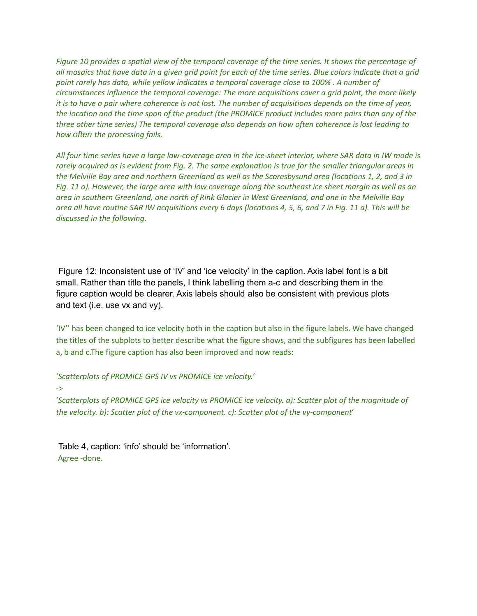Figure 10 provides a spatial view of the temporal coverage of the time series. It shows the percentage of all mosaics that have data in a given grid point for each of the time series. Blue colors indicate that a grid *point rarely has data, while yellow indicates a temporal coverage close to 100% . A number of circumstances influence the temporal coverage: The more acquisitions cover a grid point, the more likely* it is to have a pair where coherence is not lost. The number of acquisitions depends on the time of year, the location and the time span of the product (the PROMICE product includes more pairs than any of the *three other time series) The temporal coverage also depends on how often coherence is lost leading to how often the processing fails.*

All four time series have a large low-coverage area in the ice-sheet interior, where SAR data in IW mode is rarely acquired as is evident from Fig. 2. The same explanation is true for the smaller triangular areas in the Melville Bay area and northern Greenland as well as the Scoresbysund area (locations 1, 2, and 3 in Fig. 11 a). However, the large area with low coverage along the southeast ice sheet margin as well as an area in southern Greenland, one north of Rink Glacier in West Greenland, and one in the Melville Bay area all have routine SAR IW acquisitions every 6 days (locations 4, 5, 6, and 7 in Fig. 11 a). This will be *discussed in the following.*

Figure 12: Inconsistent use of 'IV' and 'ice velocity' in the caption. Axis label font is a bit small. Rather than title the panels, I think labelling them a-c and describing them in the figure caption would be clearer. Axis labels should also be consistent with previous plots and text (i.e. use vx and vy).

'IV'' has been changed to ice velocity both in the caption but also in the figure labels. We have changed the titles of the subplots to better describe what the figure shows, and the subfigures has been labelled a, b and c.The figure caption has also been improved and now reads:

'*Scatterplots of PROMICE GPS IV vs PROMICE ice velocity.*'

->

'*Scatterplots of PROMICE GPS ice velocity vs PROMICE ice velocity. a): Scatter plot of the magnitude of the velocity. b): Scatter plot of the vx-component. c): Scatter plot of the vy-component*'

Table 4, caption: 'info' should be 'information'. Agree -done.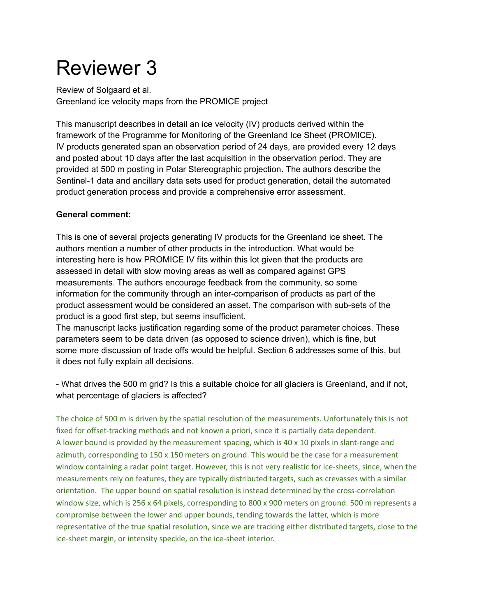# Reviewer 3

Review of Solgaard et al. Greenland ice velocity maps from the PROMICE project

This manuscript describes in detail an ice velocity (IV) products derived within the framework of the Programme for Monitoring of the Greenland Ice Sheet (PROMICE). IV products generated span an observation period of 24 days, are provided every 12 days and posted about 10 days after the last acquisition in the observation period. They are provided at 500 m posting in Polar Stereographic projection. The authors describe the Sentinel-1 data and ancillary data sets used for product generation, detail the automated product generation process and provide a comprehensive error assessment.

## **General comment:**

This is one of several projects generating IV products for the Greenland ice sheet. The authors mention a number of other products in the introduction. What would be interesting here is how PROMICE IV fits within this lot given that the products are assessed in detail with slow moving areas as well as compared against GPS measurements. The authors encourage feedback from the community, so some information for the community through an inter-comparison of products as part of the product assessment would be considered an asset. The comparison with sub-sets of the product is a good first step, but seems insufficient.

The manuscript lacks justification regarding some of the product parameter choices. These parameters seem to be data driven (as opposed to science driven), which is fine, but some more discussion of trade offs would be helpful. Section 6 addresses some of this, but it does not fully explain all decisions.

- What drives the 500 m grid? Is this a suitable choice for all glaciers is Greenland, and if not, what percentage of glaciers is affected?

The choice of 500 m is driven by the spatial resolution of the measurements. Unfortunately this is not fixed for offset-tracking methods and not known a priori, since it is partially data dependent. A lower bound is provided by the measurement spacing, which is 40 x 10 pixels in slant-range and azimuth, corresponding to 150 x 150 meters on ground. This would be the case for a measurement window containing a radar point target. However, this is not very realistic for ice-sheets, since, when the measurements rely on features, they are typically distributed targets, such as crevasses with a similar orientation. The upper bound on spatial resolution is instead determined by the cross-correlation window size, which is 256 x 64 pixels, corresponding to 800 x 900 meters on ground. 500 m represents a compromise between the lower and upper bounds, tending towards the latter, which is more representative of the true spatial resolution, since we are tracking either distributed targets, close to the ice-sheet margin, or intensity speckle, on the ice-sheet interior.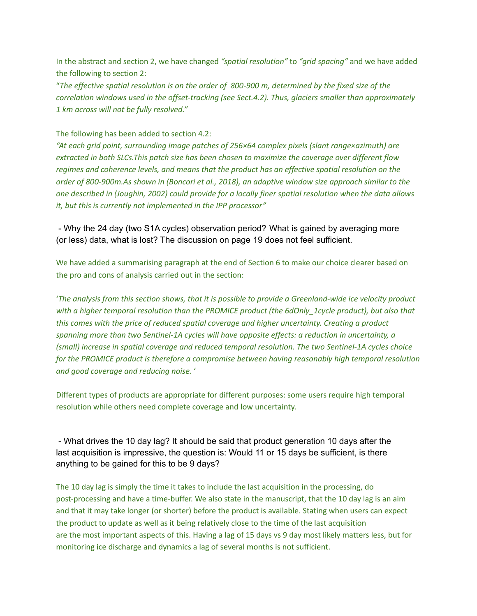In the abstract and section 2, we have changed *"spatial resolution"* to *"grid spacing"* and we have added the following to section 2:

"The effective spatial resolution is on the order of 800-900 m, determined by the fixed size of the *correlation windows used in the offset-tracking (see Sect.4.2). Thus, glaciers smaller than approximately 1 km across will not be fully resolved."*

The following has been added to section 4.2:

*"At each grid point, surrounding image patches of 256×64 complex pixels (slant range×azimuth) are extracted in both SLCs.This patch size has been chosen to maximize the coverage over different flow regimes and coherence levels, and means that the product has an effective spatial resolution on the order of 800-900m.As shown in (Boncori et al., 2018), an adaptive window size approach similar to the* one described in (Joughin, 2002) could provide for a locally finer spatial resolution when the data allows *it, but this is currently not implemented in the IPP processor"*

- Why the 24 day (two S1A cycles) observation period? What is gained by averaging more (or less) data, what is lost? The discussion on page 19 does not feel sufficient.

We have added a summarising paragraph at the end of Section 6 to make our choice clearer based on the pro and cons of analysis carried out in the section:

'The analysis from this section shows, that it is possible to provide a Greenland-wide ice velocity product *with a higher temporal resolution than the PROMICE product (the 6dOnly\_1cycle product), but also that this comes with the price of reduced spatial coverage and higher uncertainty. Creating a product spanning more than two Sentinel-1A cycles will have opposite effects: a reduction in uncertainty, a (small) increase in spatial coverage and reduced temporal resolution. The two Sentinel-1A cycles choice for the PROMICE product is therefore a compromise between having reasonably high temporal resolution and good coverage and reducing noise.* '

Different types of products are appropriate for different purposes: some users require high temporal resolution while others need complete coverage and low uncertainty.

- What drives the 10 day lag? It should be said that product generation 10 days after the last acquisition is impressive, the question is: Would 11 or 15 days be sufficient, is there anything to be gained for this to be 9 days?

The 10 day lag is simply the time it takes to include the last acquisition in the processing, do post-processing and have a time-buffer. We also state in the manuscript, that the 10 day lag is an aim and that it may take longer (or shorter) before the product is available. Stating when users can expect the product to update as well as it being relatively close to the time of the last acquisition are the most important aspects of this. Having a lag of 15 days vs 9 day most likely matters less, but for monitoring ice discharge and dynamics a lag of several months is not sufficient.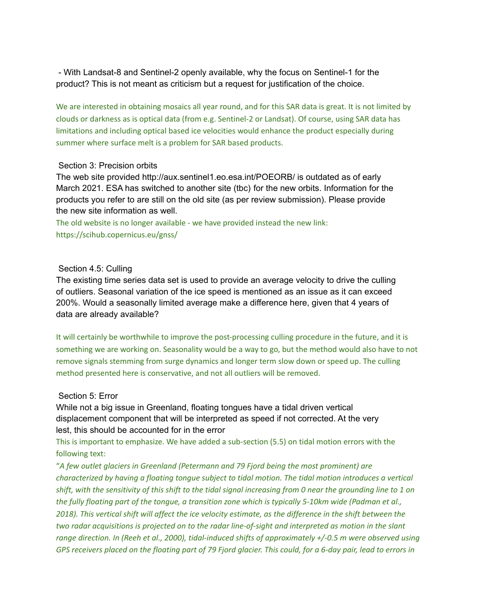- With Landsat-8 and Sentinel-2 openly available, why the focus on Sentinel-1 for the product? This is not meant as criticism but a request for justification of the choice.

We are interested in obtaining mosaics all year round, and for this SAR data is great. It is not limited by clouds or darkness as is optical data (from e.g. Sentinel-2 or Landsat). Of course, using SAR data has limitations and including optical based ice velocities would enhance the product especially during summer where surface melt is a problem for SAR based products.

### Section 3: Precision orbits

The web site provided http://aux.sentinel1.eo.esa.int/POEORB/ is outdated as of early March 2021. ESA has switched to another site (tbc) for the new orbits. Information for the products you refer to are still on the old site (as per review submission). Please provide the new site information as well.

The old website is no longer available - we have provided instead the new link: https://scihub.copernicus.eu/gnss/

### Section 4.5: Culling

The existing time series data set is used to provide an average velocity to drive the culling of outliers. Seasonal variation of the ice speed is mentioned as an issue as it can exceed 200%. Would a seasonally limited average make a difference here, given that 4 years of data are already available?

It will certainly be worthwhile to improve the post-processing culling procedure in the future, and it is something we are working on. Seasonality would be a way to go, but the method would also have to not remove signals stemming from surge dynamics and longer term slow down or speed up. The culling method presented here is conservative, and not all outliers will be removed.

### Section 5: Error

While not a big issue in Greenland, floating tongues have a tidal driven vertical displacement component that will be interpreted as speed if not corrected. At the very lest, this should be accounted for in the error

This is important to emphasize. We have added a sub-section (5.5) on tidal motion errors with the following text:

"*A few outlet glaciers in Greenland (Petermann and 79 Fjord being the most prominent) are characterized by having a floating tongue subject to tidal motion. The tidal motion introduces a vertical* shift, with the sensitivity of this shift to the tidal signal increasing from 0 near the grounding line to 1 on the fully floating part of the tongue, a transition zone which is typically 5-10km wide (Padman et al., 2018). This vertical shift will affect the ice velocity estimate, as the difference in the shift between the *two radar acquisitions is projected on to the radar line-of-sight and interpreted as motion in the slant range direction. In (Reeh et al., 2000), tidal-induced shifts of approximately +/-0.5 m were observed using* GPS receivers placed on the floating part of 79 Fjord glacier. This could, for a 6-day pair, lead to errors in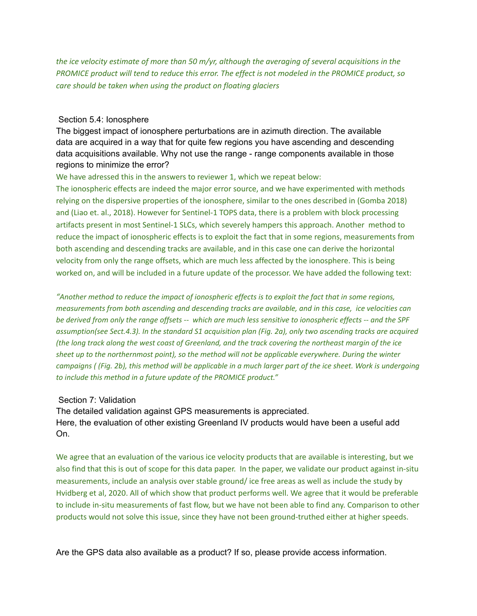*the ice velocity estimate of more than 50 m/yr, although the averaging of several acquisitions in the* PROMICE product will tend to reduce this error. The effect is not modeled in the PROMICE product, so *care should be taken when using the product on floating glaciers*

### Section 5.4: Ionosphere

The biggest impact of ionosphere perturbations are in azimuth direction. The available data are acquired in a way that for quite few regions you have ascending and descending data acquisitions available. Why not use the range - range components available in those regions to minimize the error?

We have adressed this in the answers to reviewer 1, which we repeat below:

The ionospheric effects are indeed the major error source, and we have experimented with methods relying on the dispersive properties of the ionosphere, similar to the ones described in (Gomba 2018) and (Liao et. al., 2018). However for Sentinel-1 TOPS data, there is a problem with block processing artifacts present in most Sentinel-1 SLCs, which severely hampers this approach. Another method to reduce the impact of ionospheric effects is to exploit the fact that in some regions, measurements from both ascending and descending tracks are available, and in this case one can derive the horizontal velocity from only the range offsets, which are much less affected by the ionosphere. This is being worked on, and will be included in a future update of the processor. We have added the following text:

*"Another method to reduce the impact of ionospheric effects is to exploit the fact that in some regions, measurements from both ascending and descending tracks are available, and in this case, ice velocities can be derived from only the range offsets -- which are much less sensitive to ionospheric effects -- and the SPF assumption(see Sect.4.3). In the standard S1 acquisition plan (Fig. 2a), only two ascending tracks are acquired (the long track along the west coast of Greenland, and the track covering the northeast margin of the ice sheet up to the northernmost point), so the method will not be applicable everywhere. During the winter campaigns ( (Fig. 2b), this method will be applicable in a much larger part of the ice sheet. Work is undergoing to include this method in a future update of the PROMICE product."*

### Section 7: Validation

The detailed validation against GPS measurements is appreciated. Here, the evaluation of other existing Greenland IV products would have been a useful add On.

We agree that an evaluation of the various ice velocity products that are available is interesting, but we also find that this is out of scope for this data paper. In the paper, we validate our product against in-situ measurements, include an analysis over stable ground/ ice free areas as well as include the study by Hvidberg et al, 2020. All of which show that product performs well. We agree that it would be preferable to include in-situ measurements of fast flow, but we have not been able to find any. Comparison to other products would not solve this issue, since they have not been ground-truthed either at higher speeds.

Are the GPS data also available as a product? If so, please provide access information.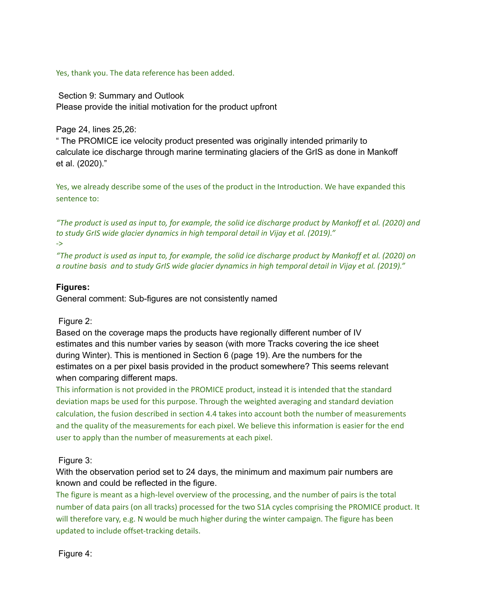Yes, thank you. The data reference has been added.

Section 9: Summary and Outlook Please provide the initial motivation for the product upfront

Page 24, lines 25,26:

" The PROMICE ice velocity product presented was originally intended primarily to calculate ice discharge through marine terminating glaciers of the GrIS as done in Mankoff et al. (2020)."

Yes, we already describe some of the uses of the product in the Introduction. We have expanded this sentence to:

"The product is used as input to, for example, the solid ice discharge product by Mankoff et al. (2020) and *to study GrIS wide glacier dynamics in high temporal detail in Vijay et al. (2019)."* ->

"The product is used as input to, for example, the solid ice discharge product by Mankoff et al. (2020) on a routine basis and to study GrIS wide glacier dynamics in high temporal detail in Vijay et al. (2019)."

## **Figures:**

General comment: Sub-figures are not consistently named

## Figure 2:

Based on the coverage maps the products have regionally different number of IV estimates and this number varies by season (with more Tracks covering the ice sheet during Winter). This is mentioned in Section 6 (page 19). Are the numbers for the estimates on a per pixel basis provided in the product somewhere? This seems relevant when comparing different maps.

This information is not provided in the PROMICE product, instead it is intended that the standard deviation maps be used for this purpose. Through the weighted averaging and standard deviation calculation, the fusion described in section 4.4 takes into account both the number of measurements and the quality of the measurements for each pixel. We believe this information is easier for the end user to apply than the number of measurements at each pixel.

## Figure 3:

With the observation period set to 24 days, the minimum and maximum pair numbers are known and could be reflected in the figure.

The figure is meant as a high-level overview of the processing, and the number of pairs is the total number of data pairs (on all tracks) processed for the two S1A cycles comprising the PROMICE product. It will therefore vary, e.g. N would be much higher during the winter campaign. The figure has been updated to include offset-tracking details.

Figure 4: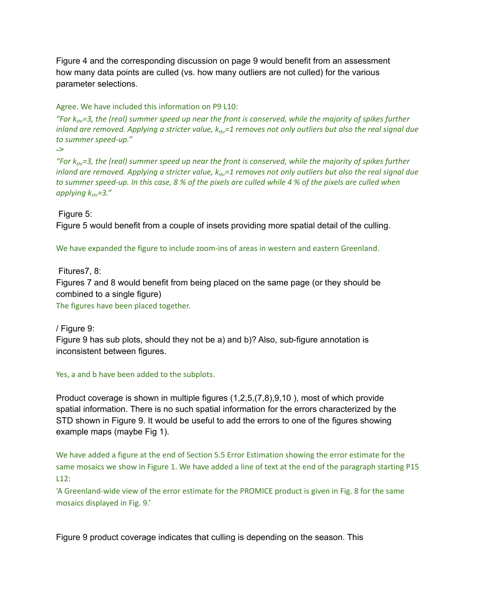Figure 4 and the corresponding discussion on page 9 would benefit from an assessment how many data points are culled (vs. how many outliers are not culled) for the various parameter selections.

### Agree. We have included this information on P9 L10:

"For  $k_{thr}$ =3, the (real) summer speed up near the front is conserved, while the majority of spikes further inland are removed. Applying a stricter value,  $k_{thr}$ =1 removes not only outliers but also the real signal due *to summer speed-up."*

```
->
```
"For  $k_{thr}$ =3, the (real) summer speed up near the front is conserved, while the majority of spikes further inland are removed. Applying a stricter value,  $k_{thr}$ =1 removes not only outliers but also the real signal due to summer speed-up. In this case, 8 % of the pixels are culled while 4 % of the pixels are culled when *applying kthr=3."*

Figure 5:

Figure 5 would benefit from a couple of insets providing more spatial detail of the culling.

We have expanded the figure to include zoom-ins of areas in western and eastern Greenland.

Fitures7, 8:

Figures 7 and 8 would benefit from being placed on the same page (or they should be combined to a single figure)

The figures have been placed together.

/ Figure 9:

Figure 9 has sub plots, should they not be a) and b)? Also, sub-figure annotation is inconsistent between figures.

Yes, a and b have been added to the subplots.

Product coverage is shown in multiple figures (1,2,5,(7,8),9,10 ), most of which provide spatial information. There is no such spatial information for the errors characterized by the STD shown in Figure 9. It would be useful to add the errors to one of the figures showing example maps (maybe Fig 1).

We have added a figure at the end of Section 5.5 Error Estimation showing the error estimate for the same mosaics we show in Figure 1. We have added a line of text at the end of the paragraph starting P15 L12:

'A Greenland-wide view of the error estimate for the PROMICE product is given in Fig. 8 for the same mosaics displayed in Fig. 9.'

Figure 9 product coverage indicates that culling is depending on the season. This